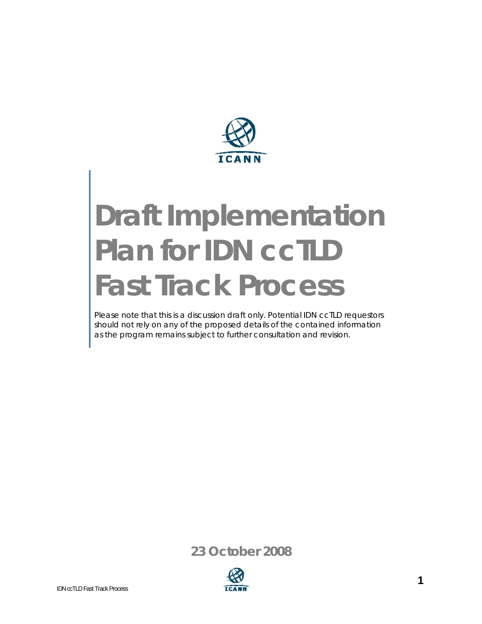

# **Draft Implementation Plan for IDN ccTLD Fast Track Process**

Please note that this is a discussion draft only. Potential IDN ccTLD requestors should not rely on any of the proposed details of the contained information as the program remains subject to further consultation and revision.

**23 October 2008**

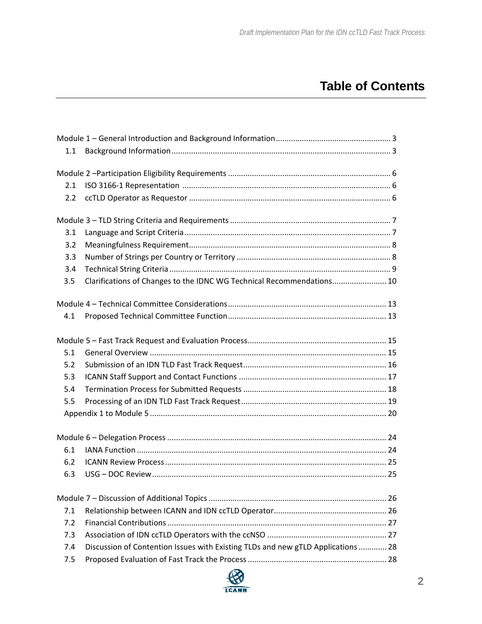## **Table of Contents**

| 1.1 |                                                                                  |  |
|-----|----------------------------------------------------------------------------------|--|
|     |                                                                                  |  |
|     |                                                                                  |  |
| 2.1 |                                                                                  |  |
| 2.2 |                                                                                  |  |
|     |                                                                                  |  |
| 3.1 |                                                                                  |  |
| 3.2 |                                                                                  |  |
| 3.3 |                                                                                  |  |
| 3.4 |                                                                                  |  |
| 3.5 | Clarifications of Changes to the IDNC WG Technical Recommendations 10            |  |
|     |                                                                                  |  |
| 4.1 |                                                                                  |  |
|     |                                                                                  |  |
| 5.1 |                                                                                  |  |
| 5.2 |                                                                                  |  |
| 5.3 |                                                                                  |  |
| 5.4 |                                                                                  |  |
| 5.5 |                                                                                  |  |
|     |                                                                                  |  |
|     |                                                                                  |  |
| 6.1 |                                                                                  |  |
| 6.2 |                                                                                  |  |
| 6.3 |                                                                                  |  |
|     |                                                                                  |  |
| 7.1 |                                                                                  |  |
| 7.2 |                                                                                  |  |
| 7.3 |                                                                                  |  |
| 7.4 | Discussion of Contention Issues with Existing TLDs and new gTLD Applications  28 |  |
| 7.5 |                                                                                  |  |
|     |                                                                                  |  |

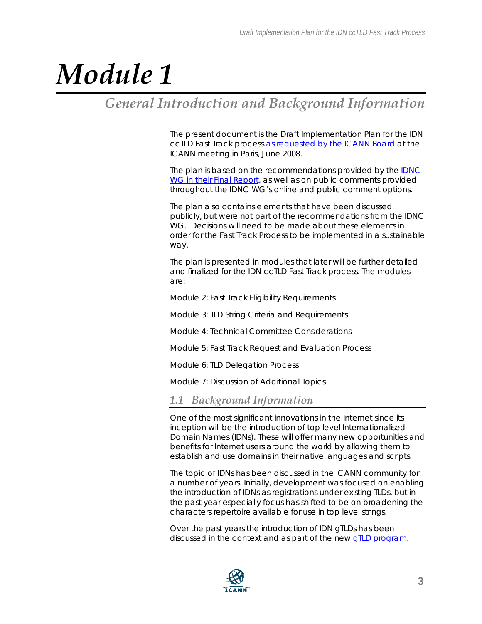## *General Introduction and Background Information*

The present document is the Draft Implementation Plan for the IDN ccTLD Fast Track process as requested by the ICANN Board at the ICANN meeting in Paris, June 2008.

The plan is based on the recommendations provided by the [IDNC](http://www.icann.org/en/announcements/announcement-15jul08-en.htm)  [WG in their Final Report,](http://www.icann.org/en/announcements/announcement-15jul08-en.htm) as well as on public comments provided throughout the IDNC WG's online and public comment options.

The plan also contains elements that have been discussed publicly, but were not part of the recommendations from the IDNC WG. Decisions will need to be made about these elements in order for the Fast Track Process to be implemented in a sustainable way.

The plan is presented in modules that later will be further detailed and finalized for the IDN ccTLD Fast Track process. The modules are:

Module 2: Fast Track Eligibility Requirements

Module 3: TLD String Criteria and Requirements

Module 4: Technical Committee Considerations

Module 5: Fast Track Request and Evaluation Process

Module 6: TLD Delegation Process

Module 7: Discussion of Additional Topics

### *1.1 Background Information*

One of the most significant innovations in the Internet since its inception will be the introduction of top level Internationalised Domain Names (IDNs). These will offer many new opportunities and benefits for Internet users around the world by allowing them to establish and use domains in their native languages and scripts.

The topic of IDNs has been discussed in the ICANN community for a number of years. Initially, development was focused on enabling the introduction of IDNs as registrations under existing TLDs, but in the past year especially focus has shifted to be on broadening the characters repertoire available for use in top level strings.

Over the past years the introduction of IDN gTLDs has been discussed in the context and as part of the new [gTLD program.](http://www.icann.org/en/topics/new-gtld-program.htm)

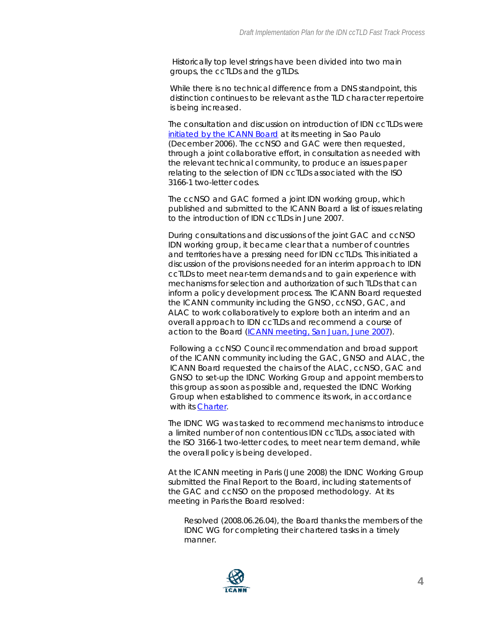Historically top level strings have been divided into two main groups, the ccTLDs and the gTLDs.

While there is no technical difference from a DNS standpoint, this distinction continues to be relevant as the TLD character repertoire is being increased.

The consultation and discussion on introduction of IDN ccTLDs were initiated by the ICANN Board at its meeting in Sao Paulo (December 2006). The ccNSO and GAC were then requested, through a joint collaborative effort, in consultation as needed with the relevant technical community, to produce an issues paper relating to the selection of IDN ccTLDs associated with the ISO 3166-1 two-letter codes.

The ccNSO and GAC formed a joint IDN working group, which published and submitted to the ICANN Board a list of issues relating to the introduction of IDN ccTLDs in June 2007.

During consultations and discussions of the joint GAC and ccNSO IDN working group, it became clear that a number of countries and territories have a pressing need for IDN ccTLDs. This initiated a discussion of the provisions needed for an interim approach to IDN ccTLDs to meet near-term demands and to gain experience with mechanisms for selection and authorization of such TLDs that can inform a policy development process. The ICANN Board requested the ICANN community including the GNSO, ccNSO, GAC, and ALAC to work collaboratively to explore both an interim and an overall approach to IDN ccTLDs and recommend a course of action to the Board ([ICANN meeting, San Juan, June 2007\)](http://www.icann.org/en/minutes/resolutions-29jun07.htm#m).

Following a ccNSO Council recommendation and broad support of the ICANN community including the GAC, GNSO and ALAC, the ICANN Board requested the chairs of the ALAC, ccNSO, GAC and GNSO to set-up the IDNC Working Group and appoint members to this group as soon as possible and, requested the IDNC Working Group when established to commence its work, in accordance with its [Charter.](http://ccnso.icann.org/workinggroups/idncwg.htm)

The IDNC WG was tasked to recommend mechanisms to introduce a limited number of non contentious IDN ccTLDs, associated with the ISO 3166-1 two-letter codes, to meet near term demand, while the overall policy is being developed.

At the ICANN meeting in Paris (June 2008) the IDNC Working Group submitted the Final Report to the Board, including statements of the GAC and ccNSO on the proposed methodology. At its meeting in Paris the Board resolved:

*Resolved (2008.06.26.04), the Board thanks the members of the IDNC WG for completing their chartered tasks in a timely manner.* 

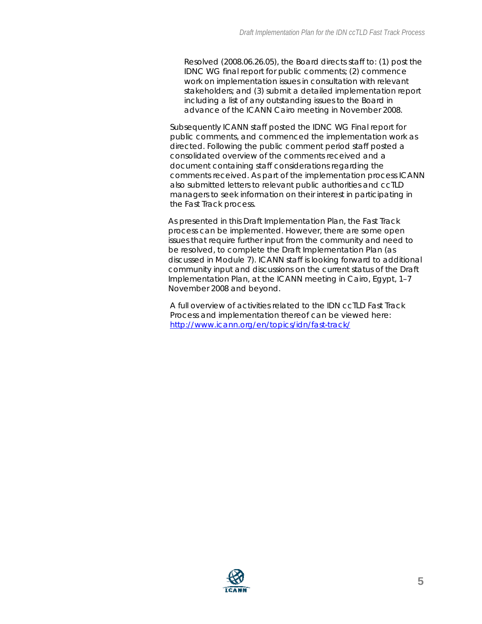*Resolved (2008.06.26.05), the Board directs staff to: (1) post the IDNC WG final report for public comments; (2) commence work on implementation issues in consultation with relevant stakeholders; and (3) submit a detailed implementation report including a list of any outstanding issues to the Board in advance of the ICANN Cairo meeting in November 2008.* 

Subsequently ICANN staff posted the IDNC WG Final report for public comments, and commenced the implementation work as directed. Following the public comment period staff posted a consolidated overview of the comments received and a document containing staff considerations regarding the comments received. As part of the implementation process ICANN also submitted letters to relevant public authorities and ccTLD managers to seek information on their interest in participating in the Fast Track process.

As presented in this Draft Implementation Plan, the Fast Track process can be implemented. However, there are some open issues that require further input from the community and need to be resolved, to complete the Draft Implementation Plan (as discussed in Module 7). ICANN staff is looking forward to additional community input and discussions on the current status of the Draft Implementation Plan, at the ICANN meeting in Cairo, Egypt, 1–7 November 2008 and beyond.

A full overview of activities related to the IDN ccTLD Fast Track Process and implementation thereof can be viewed here: <http://www.icann.org/en/topics/idn/fast-track/>

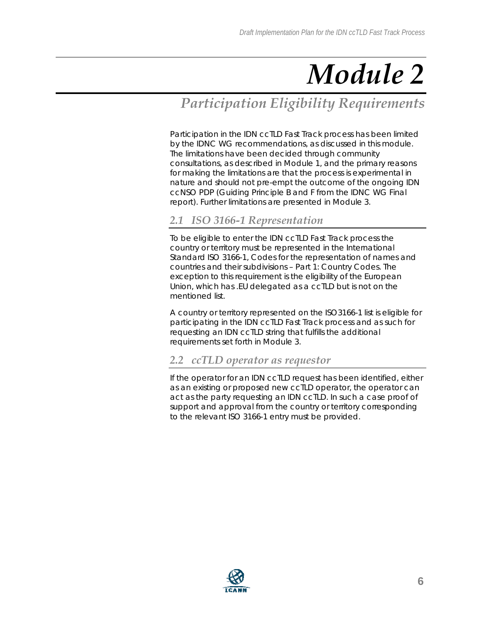## *Participation Eligibility Requirements*

Participation in the IDN ccTLD Fast Track process has been limited by the IDNC WG recommendations, as discussed in this module. The limitations have been decided through community consultations, as described in Module 1, and the primary reasons for making the limitations are that the process is experimental in nature and should not pre-empt the outcome of the ongoing IDN ccNSO PDP (Guiding Principle B and F from the IDNC WG Final report). Further limitations are presented in Module 3.

## *2.1 ISO 3166-1 Representation*

To be eligible to enter the IDN ccTLD Fast Track process the country or territory must be represented in the International Standard ISO 3166-1, Codes for the representation of names and countries and their subdivisions – Part 1: Country Codes. The exception to this requirement is the eligibility of the European Union, which has .EU delegated as a ccTLD but is not on the mentioned list.

A country or territory represented on the ISO3166-1 list is eligible for participating in the IDN ccTLD Fast Track process and as such for requesting an IDN ccTLD string that fulfills the additional requirements set forth in Module 3.

### *2.2 ccTLD operator as requestor*

If the operator for an IDN ccTLD request has been identified, either as an existing or proposed new ccTLD operator, the operator can act as the party requesting an IDN ccTLD. In such a case proof of support and approval from the country or territory corresponding to the relevant ISO 3166-1 entry must be provided.

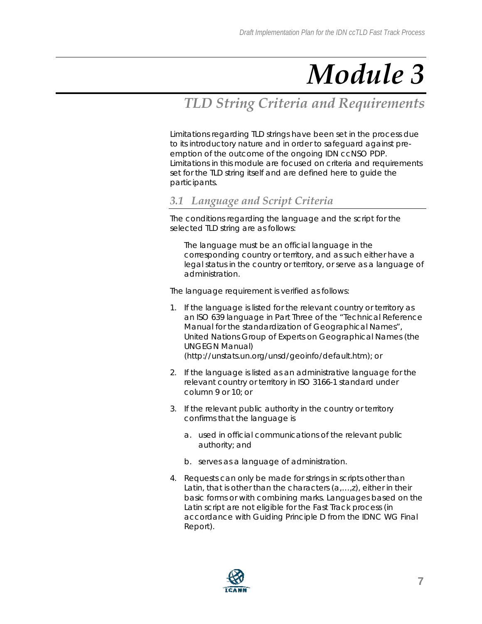## *TLD String Criteria and Requirements*

Limitations regarding TLD strings have been set in the process due to its introductory nature and in order to safeguard against preemption of the outcome of the ongoing IDN ccNSO PDP. Limitations in this module are focused on criteria and requirements set for the TLD string itself and are defined here to guide the participants.

## *3.1 Language and Script Criteria*

The conditions regarding the language and the script for the selected TLD string are as follows:

The language must be an official language in the corresponding country or territory, and as such either have a legal status in the country or territory, or serve as a language of administration.

The language requirement is verified as follows:

- 1. If the language is listed for the relevant country or territory as an ISO 639 language in Part Three of the "Technical Reference Manual for the standardization of Geographical Names", United Nations Group of Experts on Geographical Names (the UNGEGN Manual) (http://unstats.un.org/unsd/geoinfo/default.htm); or
- 2. If the language is listed as an administrative language for the relevant country or territory in ISO 3166-1 standard under column 9 or 10; or
- 3. If the relevant public authority in the country or territory confirms that the language is
	- a. used in official communications of the relevant public authority; and
	- b. serves as a language of administration.
- 4. Requests can only be made for strings in scripts other than Latin, that is other than the characters (a,…,z), either in their basic forms or with combining marks. Languages based on the Latin script are not eligible for the Fast Track process (in accordance with Guiding Principle D from the IDNC WG Final Report).

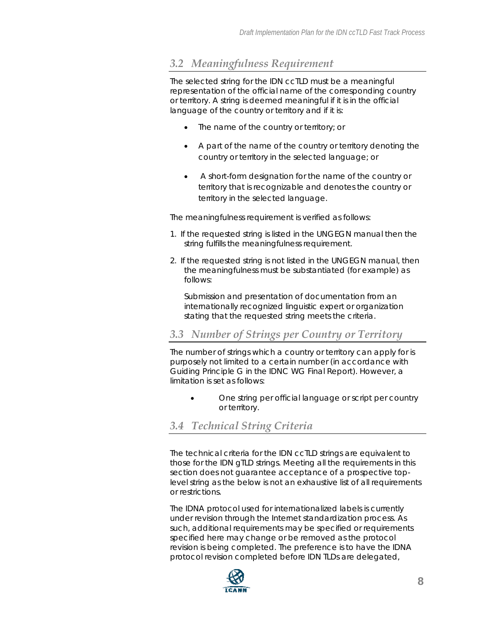## *3.2 Meaningfulness Requirement*

The selected string for the IDN ccTLD must be a meaningful representation of the official name of the corresponding country or territory. A string is deemed meaningful if it is in the official language of the country or territory and if it is:

- The name of the country or territory; or
- A part of the name of the country or territory denoting the country or territory in the selected language; or
- A short-form designation for the name of the country or territory that is recognizable and denotes the country or territory in the selected language.

The meaningfulness requirement is verified as follows:

- 1. If the requested string is listed in the UNGEGN manual then the string fulfills the meaningfulness requirement.
- 2. If the requested string is not listed in the UNGEGN manual, then the meaningfulness must be substantiated (for example) as follows:

Submission and presentation of documentation from an internationally recognized linguistic expert or organization stating that the requested string meets the criteria.

### *3.3 Number of Strings per Country or Territory*

The number of strings which a country or territory can apply for is purposely not limited to a certain number (in accordance with Guiding Principle G in the IDNC WG Final Report). However, a limitation is set as follows:

• *One string per official language or script per country or territory.* 

### *3.4 Technical String Criteria*

The technical criteria for the IDN ccTLD strings are equivalent to those for the IDN gTLD strings. Meeting all the requirements in this section does not guarantee acceptance of a prospective toplevel string as the below is not an exhaustive list of all requirements or restrictions.

The IDNA protocol used for internationalized labels is currently under revision through the Internet standardization process. As such, additional requirements may be specified or requirements specified here may change or be removed as the protocol revision is being completed. The preference is to have the IDNA protocol revision completed before IDN TLDs are delegated,

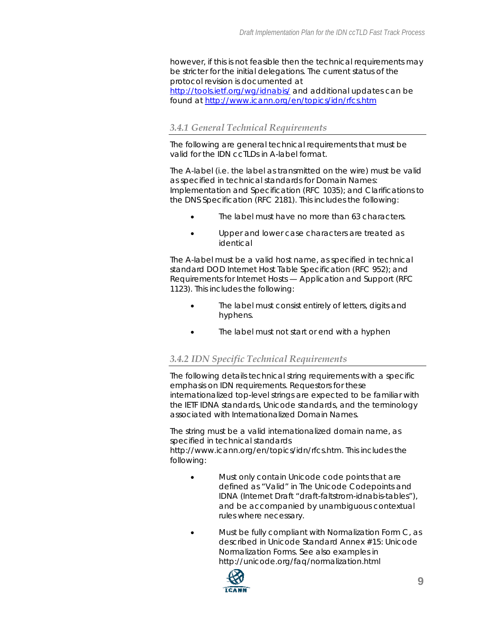however, if this is not feasible then the technical requirements may be stricter for the initial delegations. The current status of the protocol revision is documented at <http://tools.ietf.org/wg/idnabis/> and additional updates can be found at<http://www.icann.org/en/topics/idn/rfcs.htm>

#### *3.4.1 General Technical Requirements*

The following are general technical requirements that must be valid for the IDN ccTLDs in A-label format.

The A-label (i.e. the label as transmitted on the wire) must be valid as specified in technical standards for Domain Names: Implementation and Specification (RFC 1035); and Clarifications to the DNS Specification (RFC 2181). This includes the following:

- The label must have no more than 63 characters.
- Upper and lower case characters are treated as identical

The A-label must be a valid host name, as specified in technical standard DOD Internet Host Table Specification (RFC 952); and Requirements for Internet Hosts — Application and Support (RFC 1123). This includes the following:

- The label must consist entirely of letters, digits and hyphens.
- The label must not start or end with a hyphen

#### *3.4.2 IDN Specific Technical Requirements*

The following details technical string requirements with a specific emphasis on IDN requirements. Requestors for these internationalized top-level strings are expected to be familiar with the IETF IDNA standards, Unicode standards, and the terminology associated with Internationalized Domain Names.

The string must be a valid internationalized domain name, as specified in technical standards http://www.icann.org/en/topics/idn/rfcs.htm. This includes the following:

- Must only contain Unicode code points that are defined as "Valid" in The Unicode Codepoints and IDNA (Internet Draft "draft-faltstrom-idnabis-tables"), and be accompanied by unambiguous contextual rules where necessary.
- Must be fully compliant with Normalization Form C, as described in Unicode Standard Annex #15: Unicode Normalization Forms. See also examples in <http://unicode.org/faq/normalization.html>

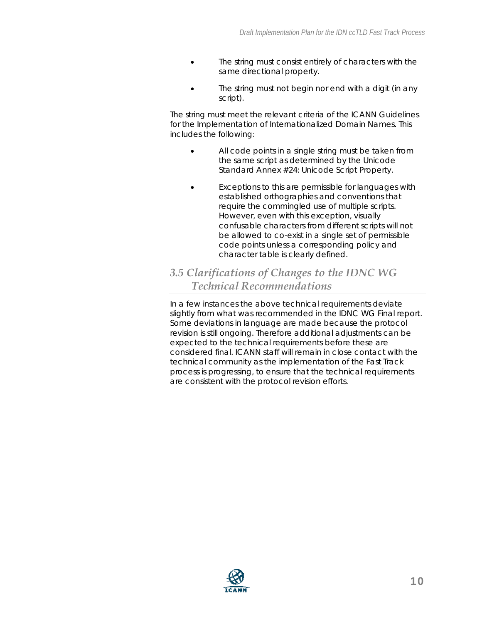- The string must consist entirely of characters with the same directional property.
- The string must not begin nor end with a digit (in any script).

The string must meet the relevant criteria of the ICANN Guidelines for the Implementation of Internationalized Domain Names. This includes the following:

- All code points in a single string must be taken from the same script as determined by the Unicode Standard Annex #24: Unicode Script Property.
- Exceptions to this are permissible for languages with established orthographies and conventions that require the commingled use of multiple scripts. However, even with this exception, visually confusable characters from different scripts will not be allowed to co-exist in a single set of permissible code points unless a corresponding policy and character table is clearly defined.

## *3.5 Clarifications of Changes to the IDNC WG Technical Recommendations*

In a few instances the above technical requirements deviate slightly from what was recommended in the IDNC WG Final report. Some deviations in language are made because the protocol revision is still ongoing. Therefore additional adjustments can be expected to the technical requirements before these are considered final. ICANN staff will remain in close contact with the technical community as the implementation of the Fast Track process is progressing, to ensure that the technical requirements are consistent with the protocol revision efforts.

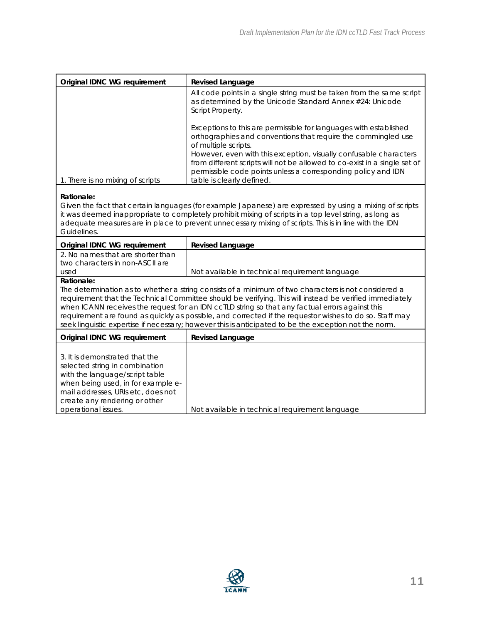| Original IDNC WG requirement                                                                                                                                                                                                                                                                                                                                                                                                                                                                                                           | <b>Revised Language</b>                                                                                                                                                                                                                                                                                                                                                                                    |  |  |  |
|----------------------------------------------------------------------------------------------------------------------------------------------------------------------------------------------------------------------------------------------------------------------------------------------------------------------------------------------------------------------------------------------------------------------------------------------------------------------------------------------------------------------------------------|------------------------------------------------------------------------------------------------------------------------------------------------------------------------------------------------------------------------------------------------------------------------------------------------------------------------------------------------------------------------------------------------------------|--|--|--|
|                                                                                                                                                                                                                                                                                                                                                                                                                                                                                                                                        | All code points in a single string must be taken from the same script<br>as determined by the Unicode Standard Annex #24: Unicode<br>Script Property.                                                                                                                                                                                                                                                      |  |  |  |
| 1. There is no mixing of scripts                                                                                                                                                                                                                                                                                                                                                                                                                                                                                                       | Exceptions to this are permissible for languages with established<br>orthographies and conventions that require the commingled use<br>of multiple scripts.<br>However, even with this exception, visually confusable characters<br>from different scripts will not be allowed to co-exist in a single set of<br>permissible code points unless a corresponding policy and IDN<br>table is clearly defined. |  |  |  |
| Rationale:<br>Given the fact that certain languages (for example Japanese) are expressed by using a mixing of scripts<br>it was deemed inappropriate to completely prohibit mixing of scripts in a top level string, as long as                                                                                                                                                                                                                                                                                                        |                                                                                                                                                                                                                                                                                                                                                                                                            |  |  |  |
| adequate measures are in place to prevent unnecessary mixing of scripts. This is in line with the IDN<br>Guidelines.                                                                                                                                                                                                                                                                                                                                                                                                                   |                                                                                                                                                                                                                                                                                                                                                                                                            |  |  |  |
| Original IDNC WG requirement                                                                                                                                                                                                                                                                                                                                                                                                                                                                                                           | Revised Language                                                                                                                                                                                                                                                                                                                                                                                           |  |  |  |
| 2. No names that are shorter than<br>two characters in non-ASCII are                                                                                                                                                                                                                                                                                                                                                                                                                                                                   |                                                                                                                                                                                                                                                                                                                                                                                                            |  |  |  |
| used<br>Rationale:                                                                                                                                                                                                                                                                                                                                                                                                                                                                                                                     | Not available in technical requirement language                                                                                                                                                                                                                                                                                                                                                            |  |  |  |
| The determination as to whether a string consists of a minimum of two characters is not considered a<br>requirement that the Technical Committee should be verifying. This will instead be verified immediately<br>when ICANN receives the request for an IDN ccTLD string so that any factual errors against this<br>requirement are found as quickly as possible, and corrected if the requestor wishes to do so. Staff may<br>seek linguistic expertise if necessary; however this is anticipated to be the exception not the norm. |                                                                                                                                                                                                                                                                                                                                                                                                            |  |  |  |
| Original IDNC WG requirement                                                                                                                                                                                                                                                                                                                                                                                                                                                                                                           | Revised Language                                                                                                                                                                                                                                                                                                                                                                                           |  |  |  |
| 3. It is demonstrated that the<br>selected string in combination<br>with the language/script table<br>when being used, in for example e-<br>mail addresses, URIs etc, does not<br>create any rendering or other<br>operational issues.                                                                                                                                                                                                                                                                                                 | Not available in technical requirement language                                                                                                                                                                                                                                                                                                                                                            |  |  |  |

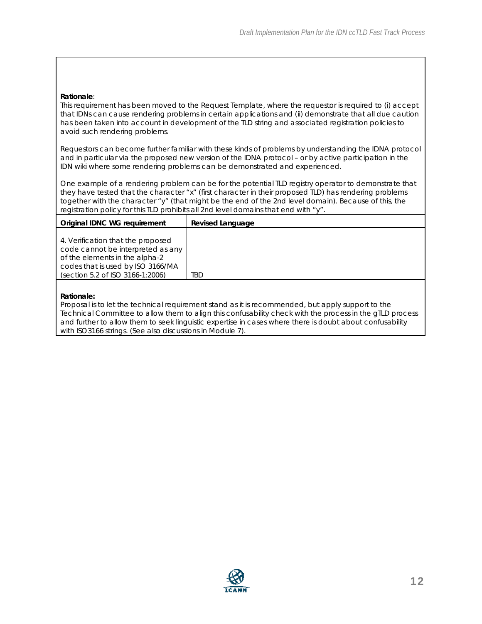#### **Rationale**:

This requirement has been moved to the Request Template, where the requestor is required to (i) accept that IDNs can cause rendering problems in certain applications and (ii) demonstrate that all due caution has been taken into account in development of the TLD string and associated registration policies to avoid such rendering problems.

Requestors can become further familiar with these kinds of problems by understanding the IDNA protocol and in particular via the proposed new version of the IDNA protocol – or by active participation in the IDN wiki where some rendering problems can be demonstrated and experienced.

One example of a rendering problem can be for the potential TLD registry operator to demonstrate that they have tested that the character "x" (first character in their proposed TLD) has rendering problems together with the character "y" (that might be the end of the 2nd level domain). Because of this, the registration policy for this TLD prohibits all 2nd level domains that end with "y".

| Original IDNC WG reguirement                                                                                                                                                      | Revised Language |
|-----------------------------------------------------------------------------------------------------------------------------------------------------------------------------------|------------------|
| 4. Verification that the proposed<br>code cannot be interpreted as any<br>of the elements in the alpha-2<br>codes that is used by ISO 3166/MA<br>(section 5.2 of ISO 3166-1:2006) | tbd              |

#### **Rationale:**

Proposal is to let the technical requirement stand as it is recommended, but apply support to the Technical Committee to allow them to align this confusability check with the process in the gTLD process and further to allow them to seek linguistic expertise in cases where there is doubt about confusability with ISO3166 strings. (See also discussions in Module 7).

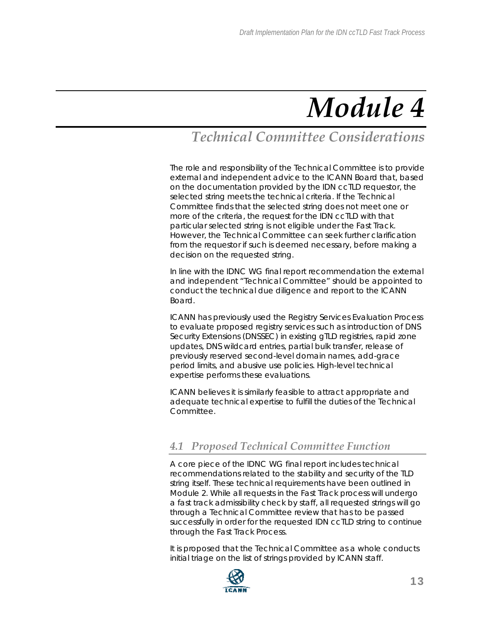## *Technical Committee Considerations*

The role and responsibility of the Technical Committee is to provide external and independent advice to the ICANN Board that, based on the documentation provided by the IDN ccTLD requestor, the selected string meets the technical criteria. If the Technical Committee finds that the selected string does not meet one or more of the criteria, the request for the IDN ccTLD with that particular selected string is not eligible under the Fast Track. However, the Technical Committee can seek further clarification from the requestor if such is deemed necessary, before making a decision on the requested string.

In line with the IDNC WG final report recommendation the external and independent "Technical Committee" should be appointed to conduct the technical due diligence and report to the ICANN Board.

ICANN has previously used the Registry Services Evaluation Process to evaluate proposed registry services such as introduction of DNS Security Extensions (DNSSEC) in existing gTLD registries, rapid zone updates, DNS wildcard entries, partial bulk transfer, release of previously reserved second-level domain names, add-grace period limits, and abusive use policies. High-level technical expertise performs these evaluations.

ICANN believes it is similarly feasible to attract appropriate and adequate technical expertise to fulfill the duties of the Technical Committee.

## *4.1 Proposed Technical Committee Function*

A core piece of the IDNC WG final report includes technical recommendations related to the stability and security of the TLD string itself. These technical requirements have been outlined in Module 2. While all requests in the Fast Track process will undergo a fast track admissibility check by staff, all requested strings will go through a Technical Committee review that has to be passed successfully in order for the requested IDN ccTLD string to continue through the Fast Track Process.

It is proposed that the Technical Committee as a whole conducts initial triage on the list of strings provided by ICANN staff.

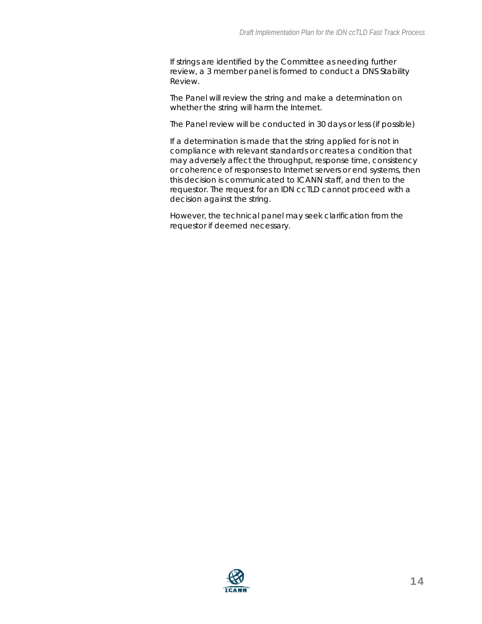If strings are identified by the Committee as needing further review, a 3 member panel is formed to conduct a DNS Stability Review.

The Panel will review the string and make a determination on whether the string will harm the Internet.

The Panel review will be conducted in 30 days or less (if possible)

If a determination is made that the string applied for is not in compliance with relevant standards or creates a condition that may adversely affect the throughput, response time, consistency or coherence of responses to Internet servers or end systems, then this decision is communicated to ICANN staff, and then to the requestor. The request for an IDN ccTLD cannot proceed with a decision against the string.

However, the technical panel may seek clarification from the requestor if deemed necessary.

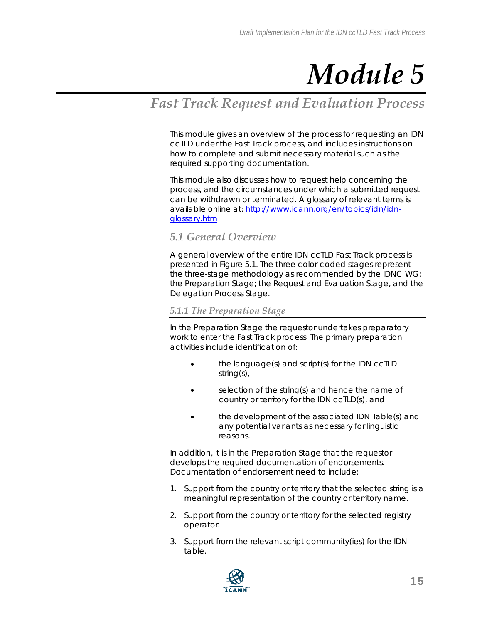## *Fast Track Request and Evaluation Process*

This module gives an overview of the process for requesting an IDN ccTLD under the Fast Track process, and includes instructions on how to complete and submit necessary material such as the required supporting documentation.

This module also discusses how to request help concerning the process, and the circumstances under which a submitted request can be withdrawn or terminated. A glossary of relevant terms is available online at: [http://www.icann.org/en/topics/idn/idn](http://www.icann.org/en/topics/idn/idn-glossary.htm)[glossary.htm](http://www.icann.org/en/topics/idn/idn-glossary.htm) 

#### *5.1 General Overview*

A general overview of the entire IDN ccTLD Fast Track process is presented in Figure 5.1. The three color-coded stages represent the three-stage methodology as recommended by the IDNC WG: the Preparation Stage; the Request and Evaluation Stage, and the Delegation Process Stage.

#### *5.1.1 The Preparation Stage*

In the Preparation Stage the requestor undertakes preparatory work to enter the Fast Track process. The primary preparation activities include identification of:

- the language(s) and script(s) for the IDN ccTLD string(s),
- selection of the string(s) and hence the name of country or territory for the IDN ccTLD(s), and
- the development of the associated IDN Table(s) and any potential variants as necessary for linguistic reasons.

In addition, it is in the Preparation Stage that the requestor develops the required documentation of endorsements. Documentation of endorsement need to include:

- 1. Support from the country or territory that the selected string is a meaningful representation of the country or territory name.
- 2. Support from the country or territory for the selected registry operator.
- 3. Support from the relevant script community(ies) for the IDN table.

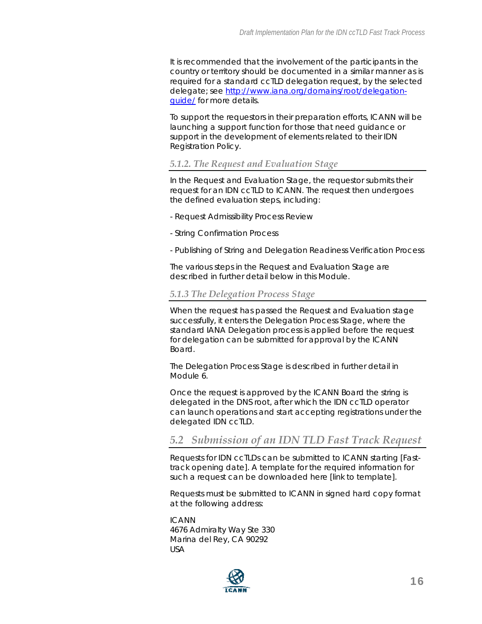It is recommended that the involvement of the participants in the country or territory should be documented in a similar manner as is required for a standard ccTLD delegation request, by the selected delegate; see [http://www.iana.org/domains/root/delegation](http://www.iana.org/domains/root/delegation-guide/)[guide/](http://www.iana.org/domains/root/delegation-guide/) for more details.

To support the requestors in their preparation efforts, ICANN will be launching a support function for those that need guidance or support in the development of elements related to their IDN Registration Policy.

#### *5.1.2. The Request and Evaluation Stage*

In the Request and Evaluation Stage, the requestor submits their request for an IDN ccTLD to ICANN. The request then undergoes the defined evaluation steps, including:

- Request Admissibility Process Review
- String Confirmation Process
- Publishing of String and Delegation Readiness Verification Process

The various steps in the Request and Evaluation Stage are described in further detail below in this Module.

#### *5.1.3 The Delegation Process Stage*

When the request has passed the Request and Evaluation stage successfully, it enters the Delegation Process Stage, where the standard IANA Delegation process is applied before the request for delegation can be submitted for approval by the ICANN Board.

The Delegation Process Stage is described in further detail in Module 6.

Once the request is approved by the ICANN Board the string is delegated in the DNS root, after which the IDN ccTLD operator can launch operations and start accepting registrations under the delegated IDN ccTLD.

#### *5.2 Submission of an IDN TLD Fast Track Request*

Requests for IDN ccTLDs can be submitted to ICANN starting [Fasttrack opening date]. A template for the required information for such a request can be downloaded here [link to template].

Requests must be submitted to ICANN in signed hard copy format at the following address:

ICANN 4676 Admiralty Way Ste 330 Marina del Rey, CA 90292 USA

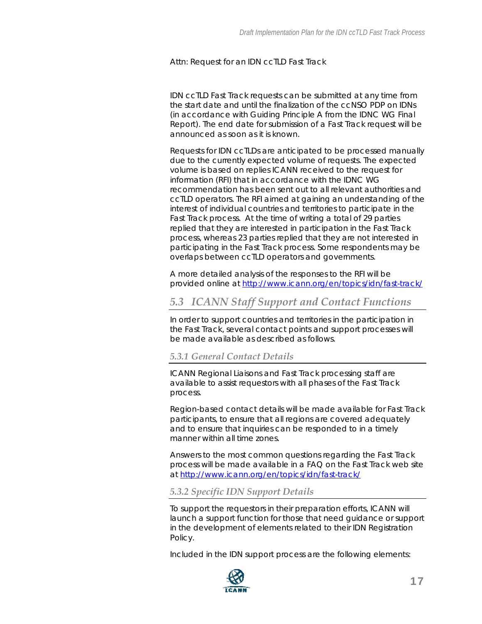#### Attn: Request for an IDN ccTLD Fast Track

IDN ccTLD Fast Track requests can be submitted at any time from the start date and until the finalization of the ccNSO PDP on IDNs (in accordance with Guiding Principle A from the IDNC WG Final Report). The end date for submission of a Fast Track request will be announced as soon as it is known.

Requests for IDN ccTLDs are anticipated to be processed manually due to the currently expected volume of requests. The expected volume is based on replies ICANN received to the request for information (RFI) that in accordance with the IDNC WG recommendation has been sent out to all relevant authorities and ccTLD operators. The RFI aimed at gaining an understanding of the interest of individual countries and territories to participate in the Fast Track process. At the time of writing a total of 29 parties replied that they are interested in participation in the Fast Track process, whereas 23 parties replied that they are not interested in participating in the Fast Track process. Some respondents may be overlaps between ccTLD operators and governments.

A more detailed analysis of the responses to the RFI will be provided online at <http://www.icann.org/en/topics/idn/fast-track/>

### *5.3 ICANN Staff Support and Contact Functions*

In order to support countries and territories in the participation in the Fast Track, several contact points and support processes will be made available as described as follows.

#### *5.3.1 General Contact Details*

ICANN Regional Liaisons and Fast Track processing staff are available to assist requestors with all phases of the Fast Track process.

Region-based contact details will be made available for Fast Track participants, to ensure that all regions are covered adequately and to ensure that inquiries can be responded to in a timely manner within all time zones.

Answers to the most common questions regarding the Fast Track process will be made available in a FAQ on the Fast Track web site at<http://www.icann.org/en/topics/idn/fast-track/>

#### *5.3.2 Specific IDN Support Details*

To support the requestors in their preparation efforts, ICANN will launch a support function for those that need guidance or support in the development of elements related to their IDN Registration Policy.

Included in the IDN support process are the following elements:

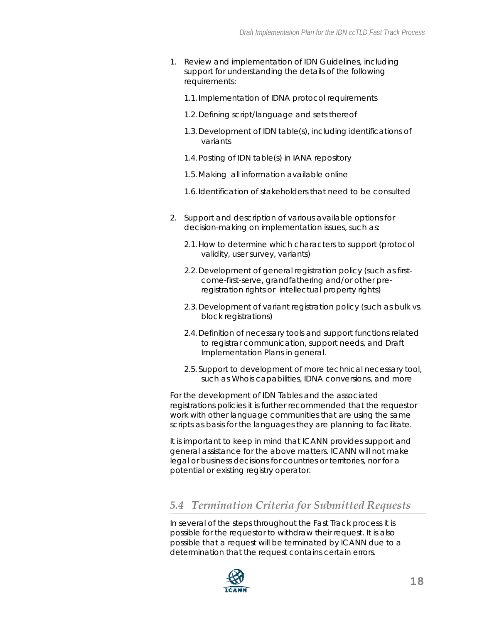- 1. Review and implementation of IDN Guidelines, including support for understanding the details of the following requirements:
	- 1.1.Implementation of IDNA protocol requirements
	- 1.2.Defining script/language and sets thereof
	- 1.3.Development of IDN table(s), including identifications of variants
	- 1.4.Posting of IDN table(s) in IANA repository
	- 1.5.Making all information available online
	- 1.6.Identification of stakeholders that need to be consulted
- 2. Support and description of various available options for decision-making on implementation issues, such as:
	- 2.1.How to determine which characters to support (protocol validity, user survey, variants)
	- 2.2.Development of general registration policy (such as firstcome-first-serve, grandfathering and/or other preregistration rights or intellectual property rights)
	- 2.3.Development of variant registration policy (such as bulk vs. block registrations)
	- 2.4.Definition of necessary tools and support functions related to registrar communication, support needs, and Draft Implementation Plans in general.
	- 2.5. Support to development of more technical necessary tool, such as Whois capabilities, IDNA conversions, and more

For the development of IDN Tables and the associated registrations policies it is further recommended that the requestor work with other language communities that are using the same scripts as basis for the languages they are planning to facilitate.

It is important to keep in mind that ICANN provides support and general assistance for the above matters. ICANN will not make legal or business decisions for countries or territories, nor for a potential or existing registry operator.

#### *5.4 Termination Criteria for Submitted Requests*

In several of the steps throughout the Fast Track process it is possible for the requestor to withdraw their request. It is also possible that a request will be terminated by ICANN due to a determination that the request contains certain errors.

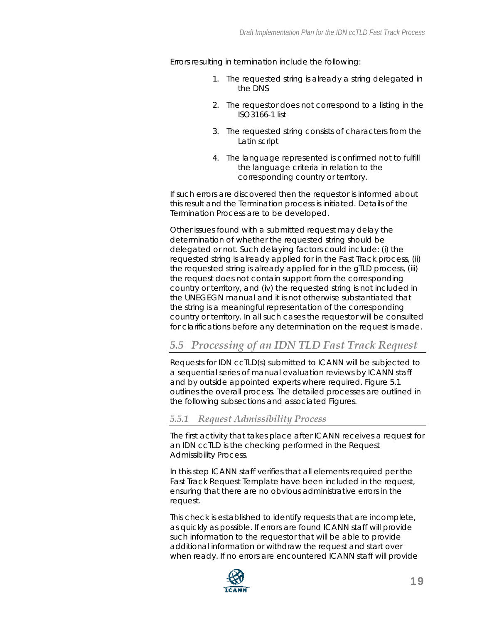Errors resulting in termination include the following:

- 1. The requested string is already a string delegated in the DNS
- 2. The requestor does not correspond to a listing in the ISO3166-1 list
- 3. The requested string consists of characters from the Latin script
- 4. The language represented is confirmed not to fulfill the language criteria in relation to the corresponding country or territory.

If such errors are discovered then the requestor is informed about this result and the Termination process is initiated. Details of the Termination Process are to be developed.

Other issues found with a submitted request may delay the determination of whether the requested string should be delegated or not. Such delaying factors could include: (i) the requested string is already applied for in the Fast Track process, (ii) the requested string is already applied for in the gTLD process, (iii) the request does not contain support from the corresponding country or territory, and (iv) the requested string is not included in the UNEGEGN manual and it is not otherwise substantiated that the string is a meaningful representation of the corresponding country or territory. In all such cases the requestor will be consulted for clarifications before any determination on the request is made.

### *5.5 Processing of an IDN TLD Fast Track Request*

Requests for IDN ccTLD(s) submitted to ICANN will be subjected to a sequential series of manual evaluation reviews by ICANN staff and by outside appointed experts where required. Figure 5.1 outlines the overall process. The detailed processes are outlined in the following subsections and associated Figures.

#### *5.5.1 Request Admissibility Process*

The first activity that takes place after ICANN receives a request for an IDN ccTLD is the checking performed in the Request Admissibility Process.

In this step ICANN staff verifies that all elements required per the Fast Track Request Template have been included in the request, ensuring that there are no obvious administrative errors in the request.

This check is established to identify requests that are incomplete, as quickly as possible. If errors are found ICANN staff will provide such information to the requestor that will be able to provide additional information or withdraw the request and start over when ready. If no errors are encountered ICANN staff will provide

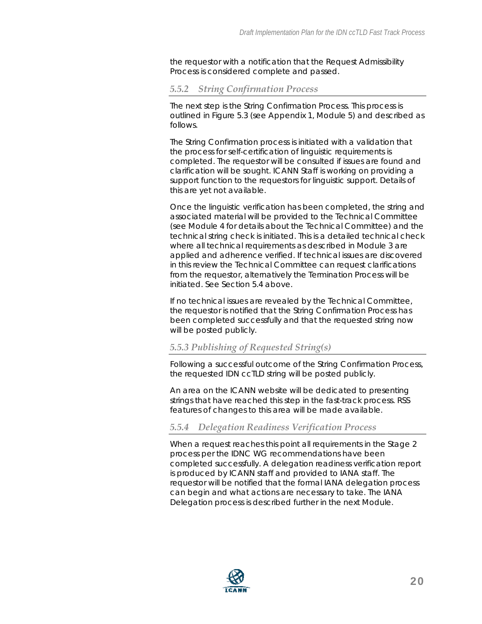the requestor with a notification that the Request Admissibility Process is considered complete and passed.

#### *5.5.2 String Confirmation Process*

The next step is the String Confirmation Process. This process is outlined in Figure 5.3 (see Appendix 1, Module 5) and described as follows.

The String Confirmation process is initiated with a validation that the process for self-certification of linguistic requirements is completed. The requestor will be consulted if issues are found and clarification will be sought. ICANN Staff is working on providing a support function to the requestors for linguistic support. Details of this are yet not available.

Once the linguistic verification has been completed, the string and associated material will be provided to the Technical Committee (see Module 4 for details about the Technical Committee) and the technical string check is initiated. This is a detailed technical check where all technical requirements as described in Module 3 are applied and adherence verified. If technical issues are discovered in this review the Technical Committee can request clarifications from the requestor, alternatively the Termination Process will be initiated. See Section 5.4 above.

If no technical issues are revealed by the Technical Committee, the requestor is notified that the String Confirmation Process has been completed successfully and that the requested string now will be posted publicly.

#### *5.5.3 Publishing of Requested String(s)*

Following a successful outcome of the String Confirmation Process, the requested IDN ccTLD string will be posted publicly.

An area on the ICANN website will be dedicated to presenting strings that have reached this step in the fast-track process. RSS features of changes to this area will be made available.

#### *5.5.4 Delegation Readiness Verification Process*

When a request reaches this point all requirements in the Stage 2 process per the IDNC WG recommendations have been completed successfully. A delegation readiness verification report is produced by ICANN staff and provided to IANA staff. The requestor will be notified that the formal IANA delegation process can begin and what actions are necessary to take. The IANA Delegation process is described further in the next Module.

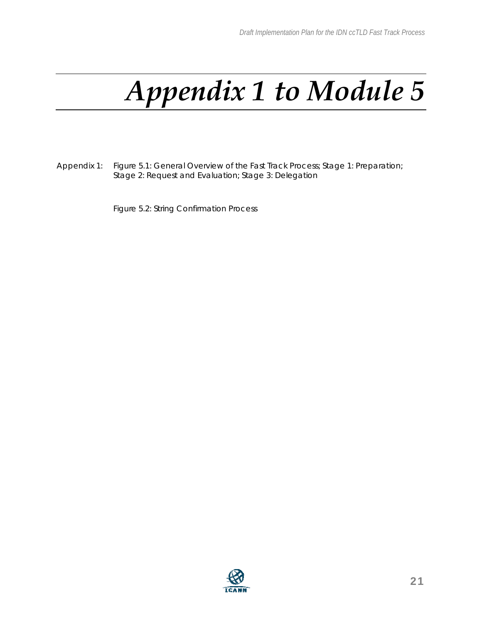# *Appendix 1 to Module 5*

Appendix 1: Figure 5.1: General Overview of the Fast Track Process; Stage 1: Preparation; Stage 2: Request and Evaluation; Stage 3: Delegation

Figure 5.2: String Confirmation Process

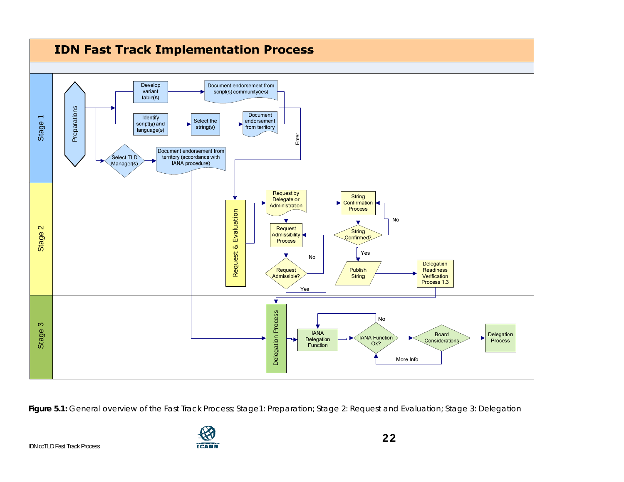

**Figure 5.1:** General overview of the Fast Track Process; Stage1: Preparation; Stage 2: Request and Evaluation; Stage 3: Delegation



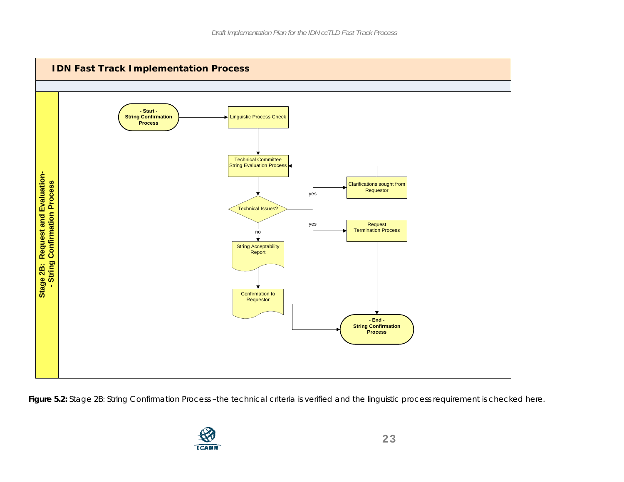

**Figure 5.2:** Stage 2B: String Confirmation Process –the technical criteria is verified and the linguistic process requirement is checked here.

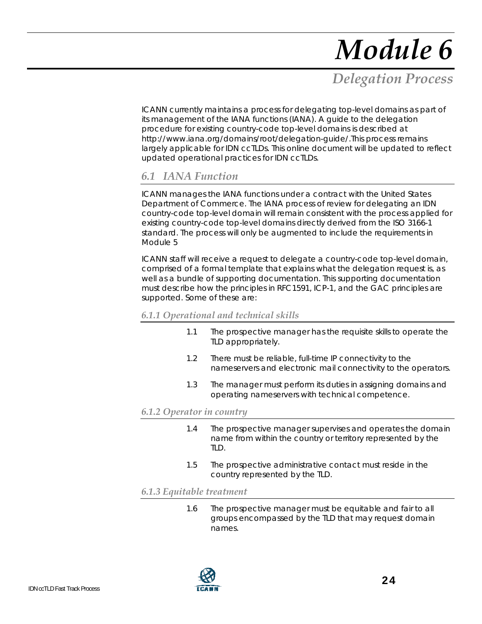## *Delegation Process*

ICANN currently maintains a process for delegating top-level domains as part of its management of the IANA functions (IANA). A guide to the delegation procedure for existing country-code top-level domains is described at http://www.iana.org/domains/root/delegation-guide/.This process remains largely applicable for IDN ccTLDs. This online document will be updated to reflect updated operational practices for IDN ccTLDs.

### *6.1 IANA Function*

ICANN manages the IANA functions under a contract with the United States Department of Commerce. The IANA process of review for delegating an IDN country-code top-level domain will remain consistent with the process applied for existing country-code top-level domains directly derived from the ISO 3166-1 standard. The process will only be augmented to include the requirements in Module 5

ICANN staff will receive a request to delegate a country-code top-level domain, comprised of a formal template that explains what the delegation request is, as well as a bundle of supporting documentation. This supporting documentation must describe how the principles in RFC1591, ICP-1, and the GAC principles are supported. Some of these are:

#### *6.1.1 Operational and technical skills*

- 1.1 The prospective manager has the requisite skills to operate the TLD appropriately.
- 1.2 There must be reliable, full-time IP connectivity to the nameservers and electronic mail connectivity to the operators.
- 1.3 The manager must perform its duties in assigning domains and operating nameservers with technical competence.

#### *6.1.2 Operator in country*

- 1.4 The prospective manager supervises and operates the domain name from within the country or territory represented by the TLD.
- 1.5 The prospective administrative contact must reside in the country represented by the TLD.

#### *6.1.3 Equitable treatment*

1.6 The prospective manager must be equitable and fair to all groups encompassed by the TLD that may request domain names.

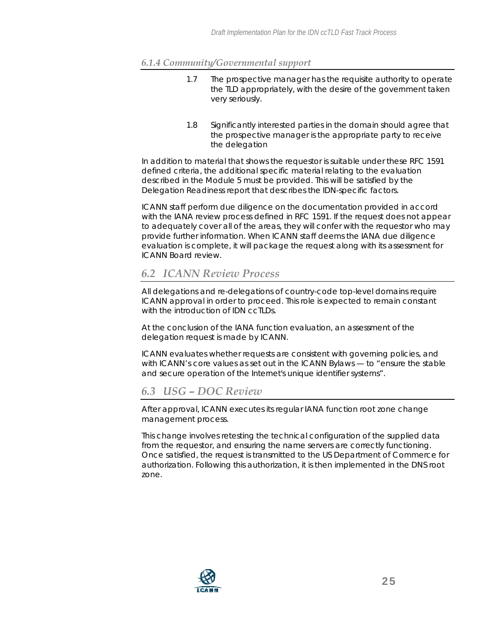#### *6.1.4 Community/Governmental support*

- 1.7 The prospective manager has the requisite authority to operate the TLD appropriately, with the desire of the government taken very seriously.
- 1.8 Significantly interested parties in the domain should agree that the prospective manager is the appropriate party to receive the delegation

In addition to material that shows the requestor is suitable under these RFC 1591 defined criteria, the additional specific material relating to the evaluation described in the Module 5 must be provided. This will be satisfied by the Delegation Readiness report that describes the IDN-specific factors.

ICANN staff perform due diligence on the documentation provided in accord with the IANA review process defined in RFC 1591. If the request does not appear to adequately cover all of the areas, they will confer with the requestor who may provide further information. When ICANN staff deems the IANA due diligence evaluation is complete, it will package the request along with its assessment for ICANN Board review.

### *6.2 ICANN Review Process*

All delegations and re-delegations of country-code top-level domains require ICANN approval in order to proceed. This role is expected to remain constant with the introduction of IDN ccTLDs.

At the conclusion of the IANA function evaluation, an assessment of the delegation request is made by ICANN.

ICANN evaluates whether requests are consistent with governing policies, and with ICANN's core values as set out in the ICANN Bylaws — to "ensure the stable and secure operation of the Internet's unique identifier systems".

## *6.3 USG – DOC Review*

After approval, ICANN executes its regular IANA function root zone change management process.

This change involves retesting the technical configuration of the supplied data from the requestor, and ensuring the name servers are correctly functioning. Once satisfied, the request is transmitted to the US Department of Commerce for authorization. Following this authorization, it is then implemented in the DNS root zone.

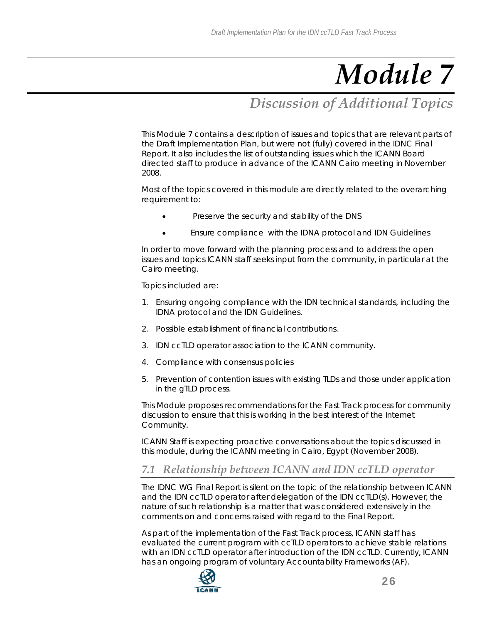## *Discussion of Additional Topics*

This Module 7 contains a description of issues and topics that are relevant parts of the Draft Implementation Plan, but were not (fully) covered in the IDNC Final Report. It also includes the list of outstanding issues which the ICANN Board directed staff to produce in advance of the ICANN Cairo meeting in November 2008.

Most of the topics covered in this module are directly related to the overarching requirement to:

- Preserve the security and stability of the DNS
- Ensure compliance with the IDNA protocol and IDN Guidelines

In order to move forward with the planning process and to address the open issues and topics ICANN staff seeks input from the community, in particular at the Cairo meeting.

Topics included are:

- 1. Ensuring ongoing compliance with the IDN technical standards, including the IDNA protocol and the IDN Guidelines.
- 2. Possible establishment of financial contributions.
- 3. IDN ccTLD operator association to the ICANN community.
- 4. Compliance with consensus policies
- 5. Prevention of contention issues with existing TLDs and those under application in the gTLD process.

This Module proposes recommendations for the Fast Track process for community discussion to ensure that this is working in the best interest of the Internet Community.

ICANN Staff is expecting proactive conversations about the topics discussed in this module, during the ICANN meeting in Cairo, Egypt (November 2008).

## *7.1 Relationship between ICANN and IDN ccTLD operator*

The IDNC WG Final Report is silent on the topic of the relationship between ICANN and the IDN ccTLD operator after delegation of the IDN ccTLD(s). However, the nature of such relationship is a matter that was considered extensively in the comments on and concerns raised with regard to the Final Report.

As part of the implementation of the Fast Track process, ICANN staff has evaluated the current program with ccTLD operators to achieve stable relations with an IDN ccTLD operator after introduction of the IDN ccTLD. Currently, ICANN has an ongoing program of voluntary Accountability Frameworks (AF).

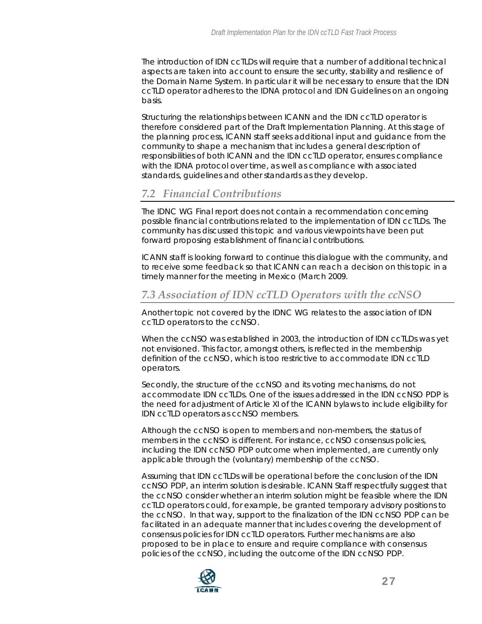The introduction of IDN ccTLDs will require that a number of additional technical aspects are taken into account to ensure the security, stability and resilience of the Domain Name System. In particular it will be necessary to ensure that the IDN ccTLD operator adheres to the IDNA protocol and IDN Guidelines on an ongoing basis.

Structuring the relationships between ICANN and the IDN ccTLD operator is therefore considered part of the Draft Implementation Planning. At this stage of the planning process, ICANN staff seeks additional input and guidance from the community to shape a mechanism that includes a general description of responsibilities of both ICANN and the IDN ccTLD operator, ensures compliance with the IDNA protocol over time, as well as compliance with associated standards, guidelines and other standards as they develop.

## *7.2 Financial Contributions*

The IDNC WG Final report does not contain a recommendation concerning possible financial contributions related to the implementation of IDN ccTLDs. The community has discussed this topic and various viewpoints have been put forward proposing establishment of financial contributions.

ICANN staff is looking forward to continue this dialogue with the community, and to receive some feedback so that ICANN can reach a decision on this topic in a timely manner for the meeting in Mexico (March 2009.

### *7.3 Association of IDN ccTLD Operators with the ccNSO*

Another topic not covered by the IDNC WG relates to the association of IDN ccTLD operators to the ccNSO.

When the ccNSO was established in 2003, the introduction of IDN ccTLDs was yet not envisioned. This factor, amongst others, is reflected in the membership definition of the ccNSO, which is too restrictive to accommodate IDN ccTLD operators.

Secondly, the structure of the ccNSO and its voting mechanisms, do not accommodate IDN ccTLDs. One of the issues addressed in the IDN ccNSO PDP is the need for adjustment of Article XI of the ICANN bylaws to include eligibility for IDN ccTLD operators as ccNSO members.

Although the ccNSO is open to members and non-members, the status of members in the ccNSO is different. For instance, ccNSO consensus policies, including the IDN ccNSO PDP outcome when implemented, are currently only applicable through the (voluntary) membership of the ccNSO.

Assuming that IDN ccTLDs will be operational before the conclusion of the IDN ccNSO PDP, an interim solution is desirable. ICANN Staff respectfully suggest that the ccNSO consider whether an interim solution might be feasible where the IDN ccTLD operators could, for example, be granted temporary advisory positions to the ccNSO. In that way, support to the finalization of the IDN ccNSO PDP can be facilitated in an adequate manner that includes covering the development of consensus policies for IDN ccTLD operators. Further mechanisms are also proposed to be in place to ensure and require compliance with consensus policies of the ccNSO, including the outcome of the IDN ccNSO PDP.